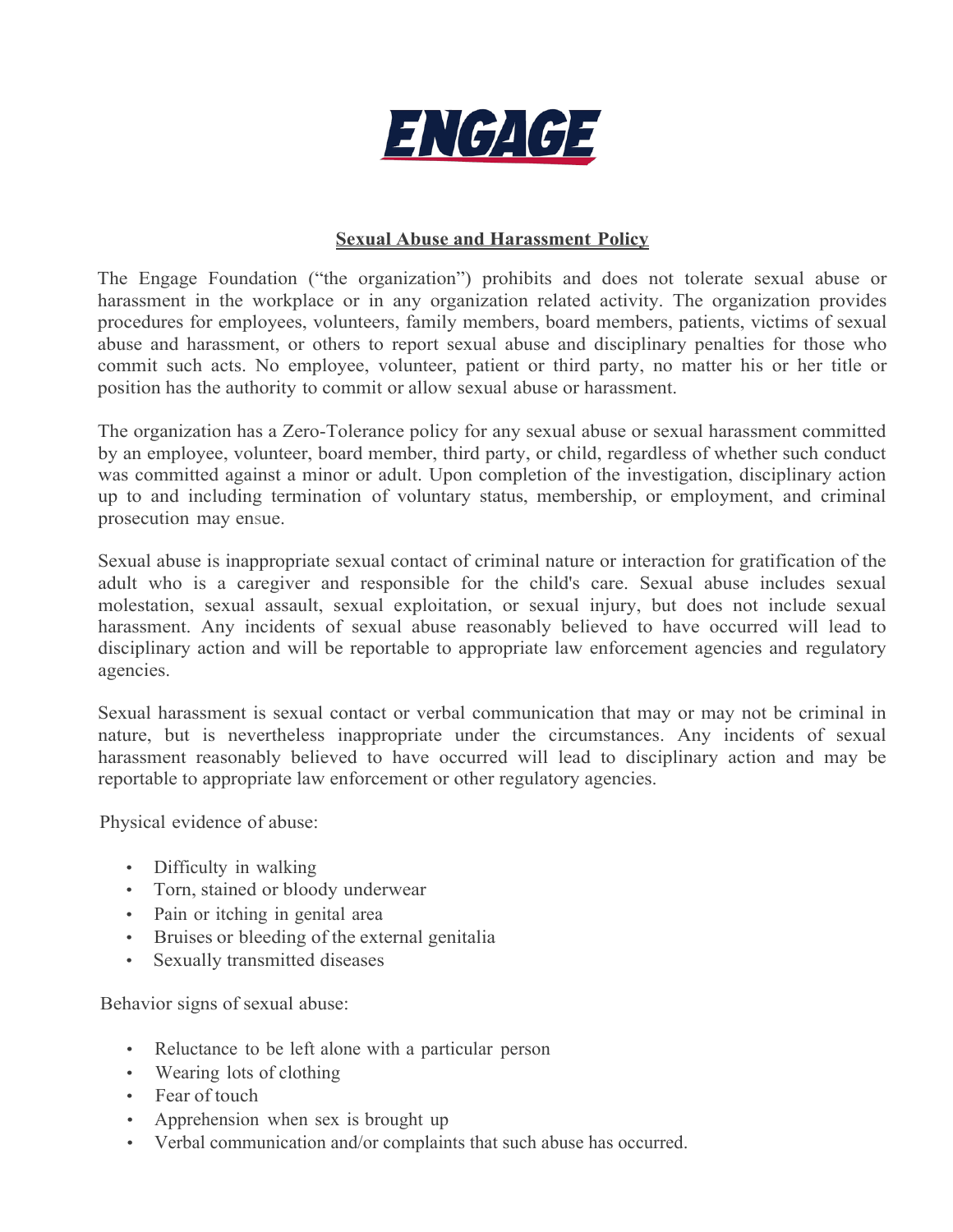

## **Sexual Abuse and Harassment Policy**

The Engage Foundation ("the organization") prohibits and does not tolerate sexual abuse or harassment in the workplace or in any organization related activity. The organization provides procedures for employees, volunteers, family members, board members, patients, victims of sexual abuse and harassment, or others to report sexual abuse and disciplinary penalties for those who commit such acts. No employee, volunteer, patient or third party, no matter his or her title or position has the authority to commit or allow sexual abuse or harassment.

The organization has a Zero-Tolerance policy for any sexual abuse or sexual harassment committed by an employee, volunteer, board member, third party, or child, regardless of whether such conduct was committed against a minor or adult. Upon completion of the investigation, disciplinary action up to and including termination of voluntary status, membership, or employment, and criminal prosecution may ensue.

Sexual abuse is inappropriate sexual contact of criminal nature or interaction for gratification of the adult who is a caregiver and responsible for the child's care. Sexual abuse includes sexual molestation, sexual assault, sexual exploitation, or sexual injury, but does not include sexual harassment. Any incidents of sexual abuse reasonably believed to have occurred will lead to disciplinary action and will be reportable to appropriate law enforcement agencies and regulatory agencies.

Sexual harassment is sexual contact or verbal communication that may or may not be criminal in nature, but is nevertheless inappropriate under the circumstances. Any incidents of sexual harassment reasonably believed to have occurred will lead to disciplinary action and may be reportable to appropriate law enforcement or other regulatory agencies.

Physical evidence of abuse:

- Difficulty in walking
- Torn, stained or bloody underwear
- Pain or itching in genital area
- Bruises or bleeding of the external genitalia
- Sexually transmitted diseases

Behavior signs of sexual abuse:

- Reluctance to be left alone with a particular person
- Wearing lots of clothing
- Fear of touch
- Apprehension when sex is brought up
- Verbal communication and/or complaints that such abuse has occurred.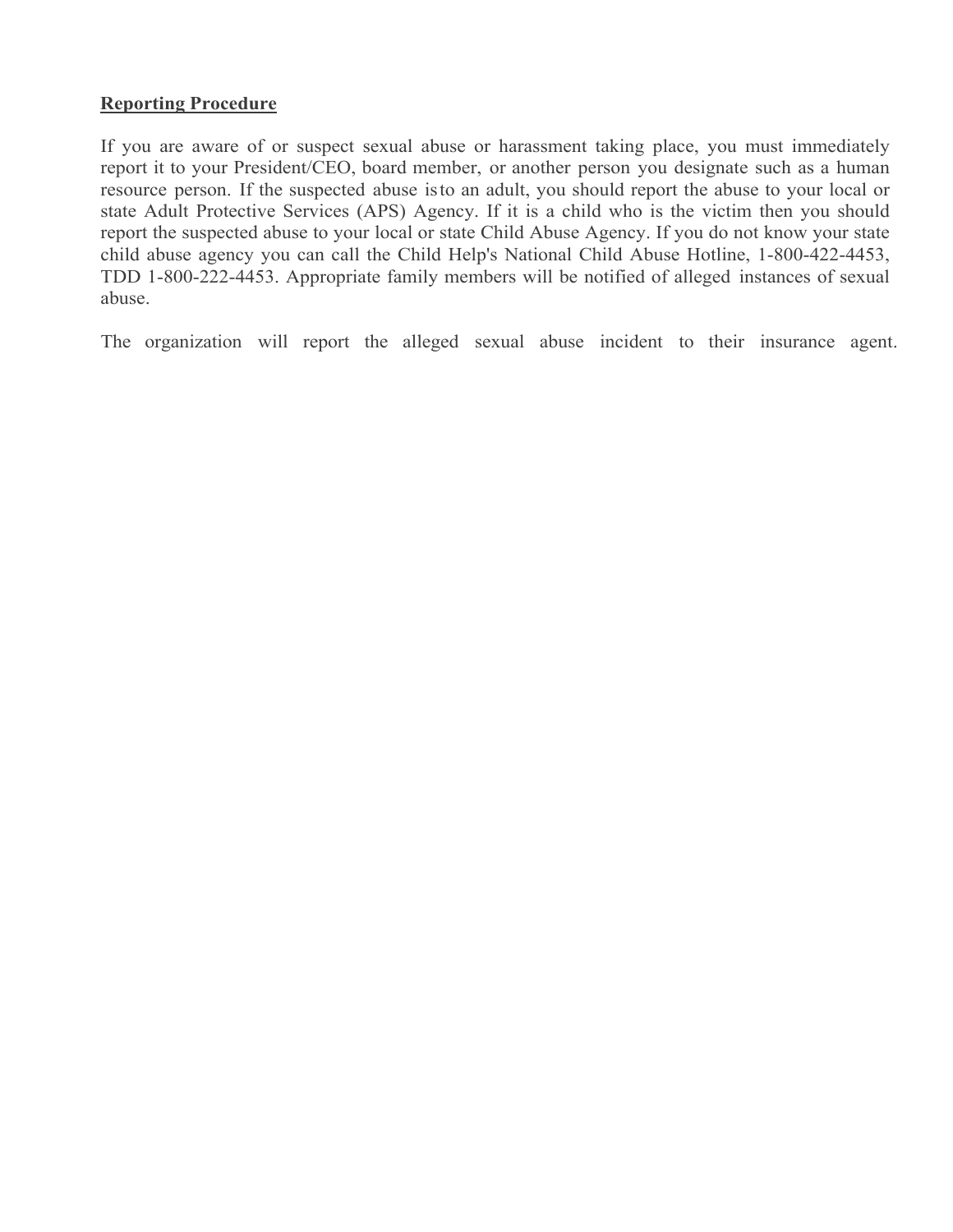# **Reporting Procedure**

If you are aware of or suspect sexual abuse or harassment taking place, you must immediately report it to your President/CEO, board member, or another person you designate such as a human resource person. If the suspected abuse isto an adult, you should report the abuse to your local or state Adult Protective Services (APS) Agency. If it is a child who is the victim then you should report the suspected abuse to your local or state Child Abuse Agency. If you do not know your state child abuse agency you can call the Child Help's National Child Abuse Hotline, 1-800-422-4453, TDD 1-800-222-4453. Appropriate family members will be notified of alleged instances of sexual abuse.

The organization will report the alleged sexual abuse incident to their insurance agent.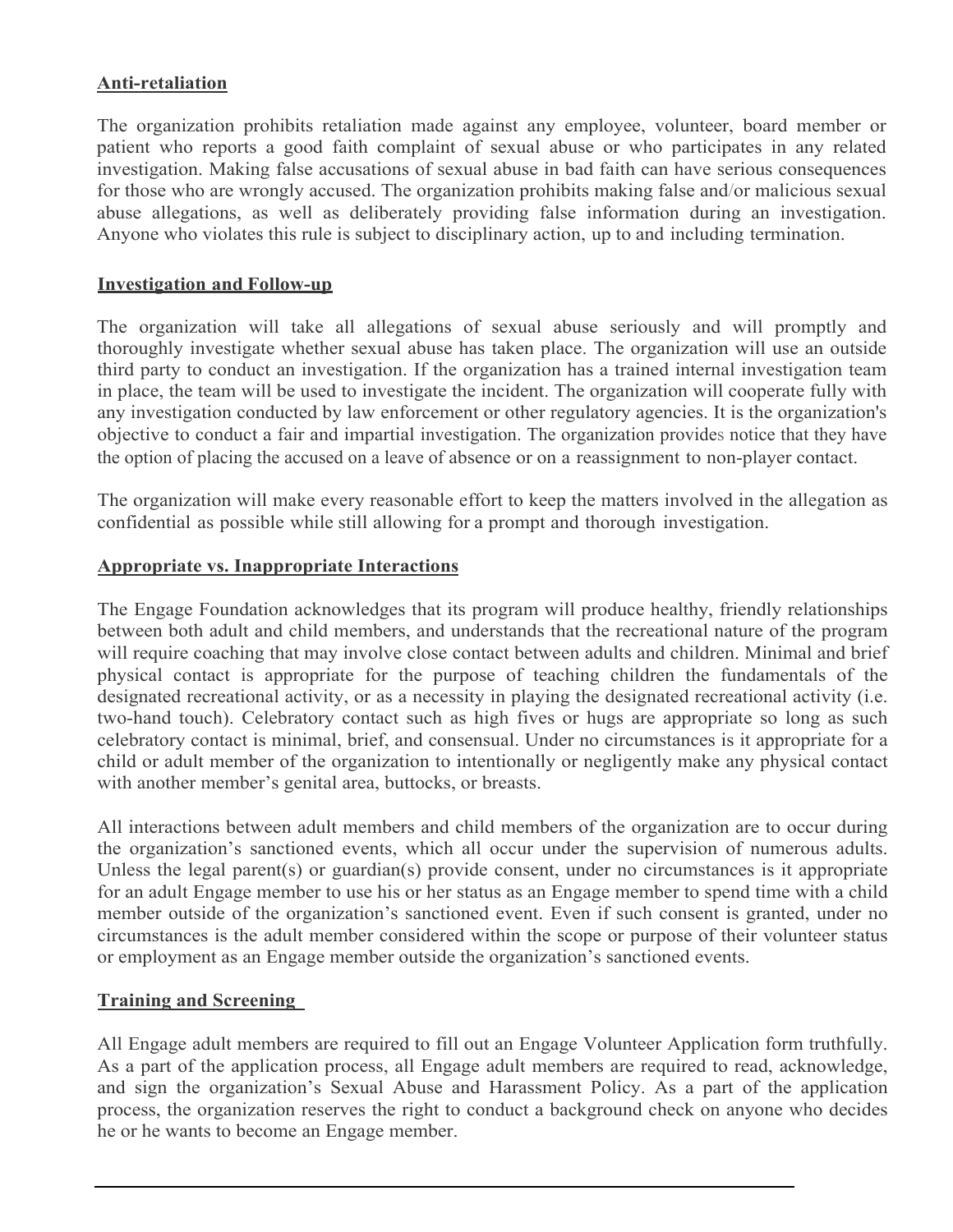# **Anti-retaliation**

The organization prohibits retaliation made against any employee, volunteer, board member or patient who reports a good faith complaint of sexual abuse or who participates in any related investigation. Making false accusations of sexual abuse in bad faith can have serious consequences for those who are wrongly accused. The organization prohibits making false and/or malicious sexual abuse allegations, as well as deliberately providing false information during an investigation. Anyone who violates this rule is subject to disciplinary action, up to and including termination.

#### **Investigation and Follow-up**

The organization will take all allegations of sexual abuse seriously and will promptly and thoroughly investigate whether sexual abuse has taken place. The organization will use an outside third party to conduct an investigation. If the organization has a trained internal investigation team in place, the team will be used to investigate the incident. The organization will cooperate fully with any investigation conducted by law enforcement or other regulatory agencies. It is the organization's objective to conduct a fair and impartial investigation. The organization provides notice that they have the option of placing the accused on a leave of absence or on a reassignment to non-player contact.

The organization will make every reasonable effort to keep the matters involved in the allegation as confidential as possible while still allowing for a prompt and thorough investigation.

#### **Appropriate vs. Inappropriate Interactions**

The Engage Foundation acknowledges that its program will produce healthy, friendly relationships between both adult and child members, and understands that the recreational nature of the program will require coaching that may involve close contact between adults and children. Minimal and brief physical contact is appropriate for the purpose of teaching children the fundamentals of the designated recreational activity, or as a necessity in playing the designated recreational activity (i.e. two-hand touch). Celebratory contact such as high fives or hugs are appropriate so long as such celebratory contact is minimal, brief, and consensual. Under no circumstances is it appropriate for a child or adult member of the organization to intentionally or negligently make any physical contact with another member's genital area, buttocks, or breasts.

All interactions between adult members and child members of the organization are to occur during the organization's sanctioned events, which all occur under the supervision of numerous adults. Unless the legal parent(s) or guardian(s) provide consent, under no circumstances is it appropriate for an adult Engage member to use his or her status as an Engage member to spend time with a child member outside of the organization's sanctioned event. Even if such consent is granted, under no circumstances is the adult member considered within the scope or purpose of their volunteer status or employment as an Engage member outside the organization's sanctioned events.

## **Training and Screening**

All Engage adult members are required to fill out an Engage Volunteer Application form truthfully. As a part of the application process, all Engage adult members are required to read, acknowledge, and sign the organization's Sexual Abuse and Harassment Policy. As a part of the application process, the organization reserves the right to conduct a background check on anyone who decides he or he wants to become an Engage member.